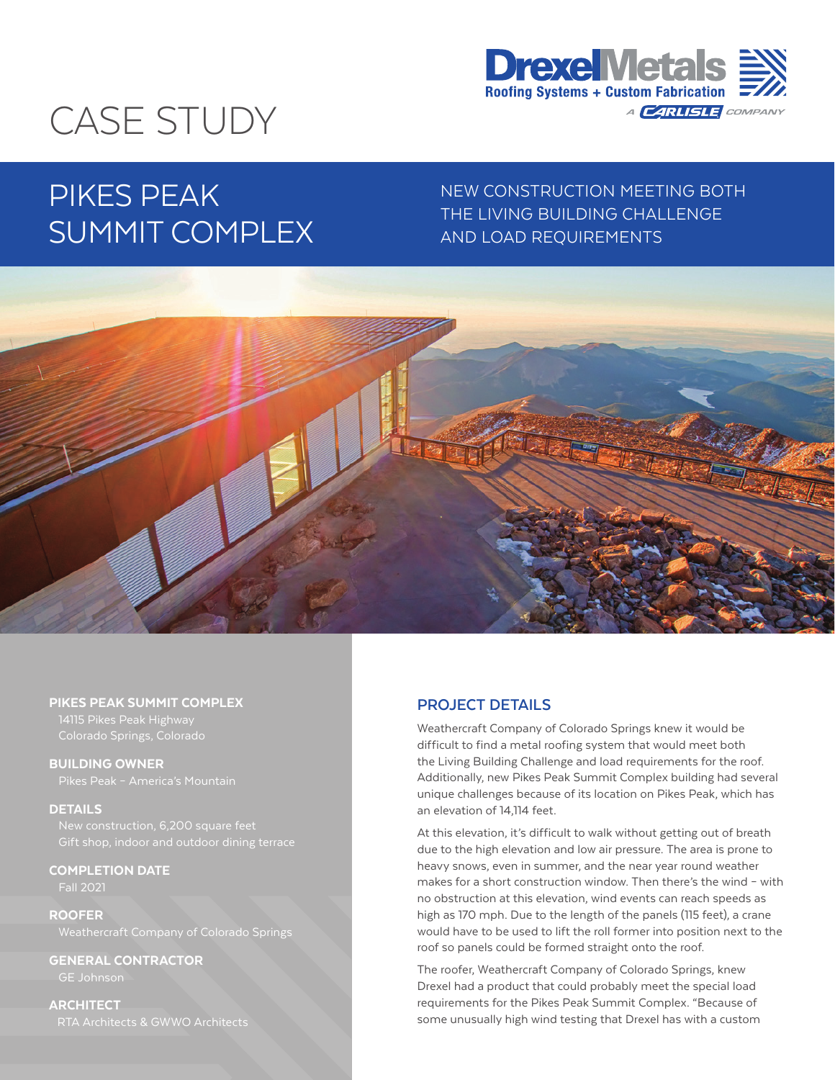

# CASE STUDY

# PIKES PEAK SUMMIT COMPLEX

NEW CONSTRUCTION MEETING BOTH THE LIVING BUILDING CHALLENGE AND LOAD REQUIREMENTS



#### PIKES PEAK SUMMIT COMPLEX

BUILDING OWNER

#### **DETAILS**

COMPLETION DATE

Fall 2021

ROOFER Weathercraft Company of Colorado Springs

GENERAL CONTRACTOR GE Johnson

**ARCHITECT** RTA Architects & GWWO Architects

# **PROJECT DETAILS**

Weathercraft Company of Colorado Springs knew it would be difficult to find a metal roofing system that would meet both the Living Building Challenge and load requirements for the roof. Additionally, new Pikes Peak Summit Complex building had several unique challenges because of its location on Pikes Peak, which has an elevation of 14,114 feet.

At this elevation, it's difficult to walk without getting out of breath due to the high elevation and low air pressure. The area is prone to heavy snows, even in summer, and the near year round weather makes for a short construction window. Then there's the wind – with no obstruction at this elevation, wind events can reach speeds as high as 170 mph. Due to the length of the panels (115 feet), a crane would have to be used to lift the roll former into position next to the roof so panels could be formed straight onto the roof.

The roofer, Weathercraft Company of Colorado Springs, knew Drexel had a product that could probably meet the special load requirements for the Pikes Peak Summit Complex. "Because of some unusually high wind testing that Drexel has with a custom